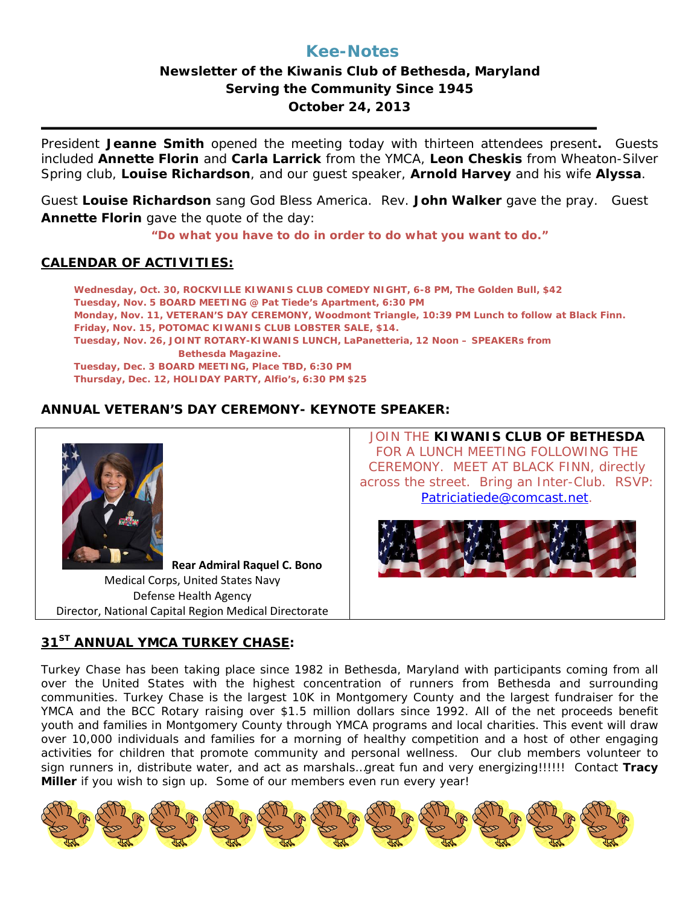# **Kee-Notes**

## **Newsletter of the Kiwanis Club of Bethesda, Maryland Serving the Community Since 1945 October 24, 2013**

President **Jeanne Smith** opened the meeting today with thirteen attendees present**.** Guests included **Annette Florin** and **Carla Larrick** from the YMCA, **Leon Cheskis** from Wheaton-Silver Spring club, **Louise Richardson**, and our guest speaker, **Arnold Harvey** and his wife **Alyssa**.

Guest **Louise Richardson** sang God Bless America. Rev. **John Walker** gave the pray. Guest **Annette Florin** gave the quote of the day:

*"Do what you have to do in order to do what you want to do."*

#### **CALENDAR OF ACTIVITIES:**

**Wednesday, Oct. 30, ROCKVILLE KIWANIS CLUB COMEDY NIGHT, 6-8 PM, The Golden Bull, \$42 Tuesday, Nov. 5 BOARD MEETING @ Pat Tiede's Apartment, 6:30 PM Monday, Nov. 11, VETERAN'S DAY CEREMONY, Woodmont Triangle, 10:39 PM Lunch to follow at Black Finn. Friday, Nov. 15, POTOMAC KIWANIS CLUB LOBSTER SALE, \$14. Tuesday, Nov. 26, JOINT ROTARY-KIWANIS LUNCH, LaPanetteria, 12 Noon – SPEAKERs from Bethesda Magazine. Tuesday, Dec. 3 BOARD MEETING, Place TBD, 6:30 PM Thursday, Dec. 12, HOLIDAY PARTY, Alfio's, 6:30 PM \$25** 

## **ANNUAL VETERAN'S DAY CEREMONY- KEYNOTE SPEAKER:**



#### **31ST ANNUAL YMCA TURKEY CHASE:**

Turkey Chase has been taking place since 1982 in Bethesda, Maryland with participants coming from all over the United States with the highest concentration of runners from Bethesda and surrounding communities. Turkey Chase is the largest 10K in Montgomery County and the largest fundraiser for the YMCA and the BCC Rotary raising over \$1.5 million dollars since 1992. All of the net proceeds benefit youth and families in Montgomery County through YMCA programs and local charities. This event will draw over 10,000 individuals and families for a morning of healthy competition and a host of other engaging activities for children that promote community and personal wellness. Our club members volunteer to sign runners in, distribute water, and act as marshals…great fun and very energizing!!!!!! Contact **Tracy Miller** if you wish to sign up. Some of our members even run every year!